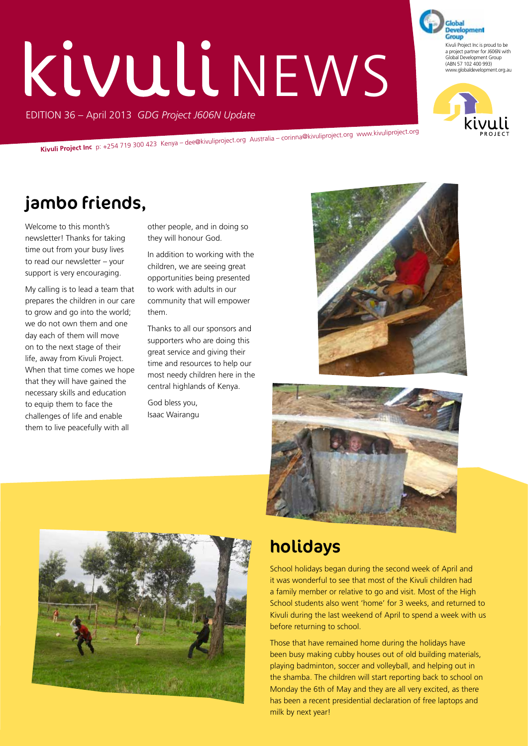# **KivulinEWS**

EDITION 36 – April 2013 *GDG Project J606N Update*

**Kivuli Project Inc** p: +254 719 300 423 Kenya – dee@kivuliproject.org Australia – corinna@kivuliproject.org www.kivuliproject.org

# jambo friends,

Welcome to this month's newsletter! Thanks for taking time out from your busy lives to read our newsletter – your support is very encouraging.

My calling is to lead a team that prepares the children in our care to grow and go into the world; we do not own them and one day each of them will move on to the next stage of their life, away from Kivuli Project. When that time comes we hope that they will have gained the necessary skills and education to equip them to face the challenges of life and enable them to live peacefully with all

other people, and in doing so they will honour God.

In addition to working with the children, we are seeing great opportunities being presented to work with adults in our community that will empower them.

Thanks to all our sponsors and supporters who are doing this great service and giving their time and resources to help our most needy children here in the central highlands of Kenya.

God bless you, Isaac Wairangu







## holidays

School holidays began during the second week of April and it was wonderful to see that most of the Kivuli children had a family member or relative to go and visit. Most of the High School students also went 'home' for 3 weeks, and returned to Kivuli during the last weekend of April to spend a week with us before returning to school.

Those that have remained home during the holidays have been busy making cubby houses out of old building materials, playing badminton, soccer and volleyball, and helping out in the shamba. The children will start reporting back to school on Monday the 6th of May and they are all very excited, as there has been a recent presidential declaration of free laptops and milk by next year!



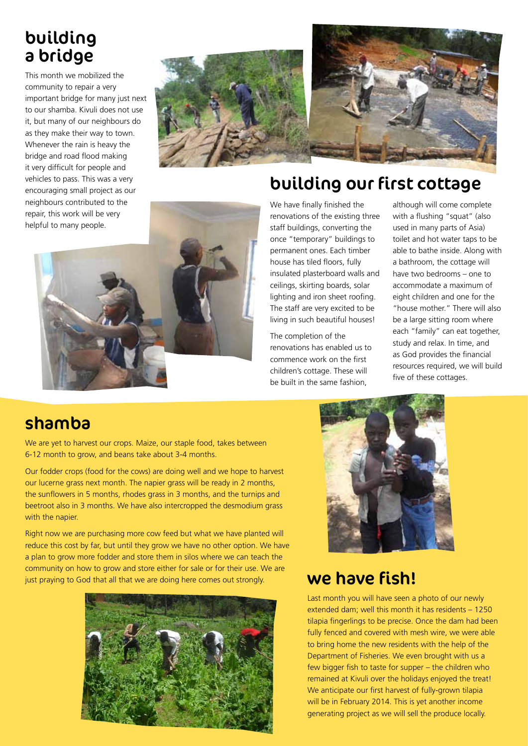# building a bridge

This month we mobilized the community to repair a very important bridge for many just next to our shamba. Kivuli does not use it, but many of our neighbours do as they make their way to town. Whenever the rain is heavy the bridge and road flood making it very difficult for people and vehicles to pass. This was a very encouraging small project as our neighbours contributed to the repair, this work will be very helpful to many people.





# building our first cottage



We have finally finished the renovations of the existing three staff buildings, converting the once "temporary" buildings to permanent ones. Each timber house has tiled floors, fully insulated plasterboard walls and ceilings, skirting boards, solar lighting and iron sheet roofing. The staff are very excited to be living in such beautiful houses!

The completion of the renovations has enabled us to commence work on the first children's cottage. These will be built in the same fashion,

although will come complete with a flushing "squat" (also used in many parts of Asia) toilet and hot water taps to be able to bathe inside. Along with a bathroom, the cottage will have two bedrooms – one to accommodate a maximum of eight children and one for the "house mother." There will also be a large sitting room where each "family" can eat together, study and relax. In time, and as God provides the financial resources required, we will build five of these cottages.

## shamba

We are yet to harvest our crops. Maize, our staple food, takes between 6-12 month to grow, and beans take about 3-4 months.

Our fodder crops (food for the cows) are doing well and we hope to harvest our lucerne grass next month. The napier grass will be ready in 2 months, the sunflowers in 5 months, rhodes grass in 3 months, and the turnips and beetroot also in 3 months. We have also intercropped the desmodium grass with the napier.

Right now we are purchasing more cow feed but what we have planted will reduce this cost by far, but until they grow we have no other option. We have a plan to grow more fodder and store them in silos where we can teach the community on how to grow and store either for sale or for their use. We are just praying to God that all that we are doing here comes out strongly.





#### we have fish!

Last month you will have seen a photo of our newly extended dam; well this month it has residents – 1250 tilapia fingerlings to be precise. Once the dam had been fully fenced and covered with mesh wire, we were able to bring home the new residents with the help of the Department of Fisheries. We even brought with us a few bigger fish to taste for supper – the children who remained at Kivuli over the holidays enjoyed the treat! We anticipate our first harvest of fully-grown tilapia will be in February 2014. This is yet another income generating project as we will sell the produce locally.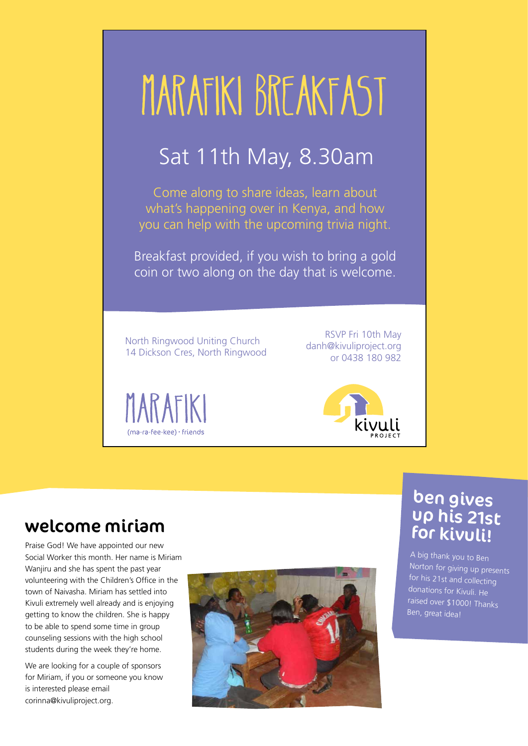

## welcome miriam

Praise God! We have appointed our new Social Worker this month. Her name is Miriam Wanjiru and she has spent the past year volunteering with the Children's Office in the town of Naivasha. Miriam has settled into Kivuli extremely well already and is enjoying getting to know the children. She is happy to be able to spend some time in group counseling sessions with the high school students during the week they're home.

We are looking for a couple of sponsors for Miriam, if you or someone you know is interested please email corinna@kivuliproject.org.



#### ben gives up his 21st for kivuli!

A big thank you to Ben Norton for giving up presents for his 21st and collecting donations for Kivuli. He raised over \$1000! Thanks Ben, great idea!